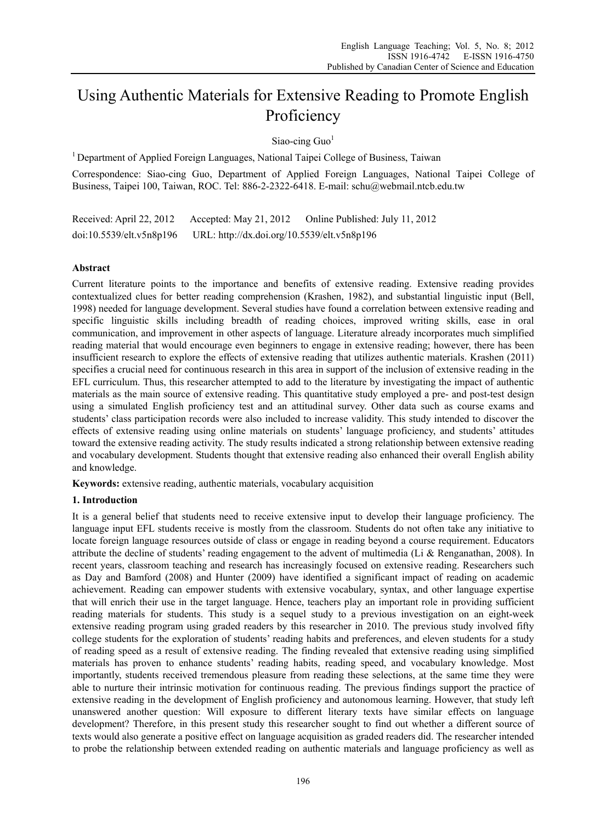# Using Authentic Materials for Extensive Reading to Promote English Proficiency

Siao-cing  $Guo<sup>1</sup>$ 

<sup>1</sup> Department of Applied Foreign Languages, National Taipei College of Business, Taiwan

Correspondence: Siao-cing Guo, Department of Applied Foreign Languages, National Taipei College of Business, Taipei 100, Taiwan, ROC. Tel: 886-2-2322-6418. E-mail: schu@webmail.ntcb.edu.tw

Received: April 22, 2012 Accepted: May 21, 2012 Online Published: July 11, 2012 doi:10.5539/elt.v5n8p196 URL: http://dx.doi.org/10.5539/elt.v5n8p196

## **Abstract**

Current literature points to the importance and benefits of extensive reading. Extensive reading provides contextualized clues for better reading comprehension (Krashen, 1982), and substantial linguistic input (Bell, 1998) needed for language development. Several studies have found a correlation between extensive reading and specific linguistic skills including breadth of reading choices, improved writing skills, ease in oral communication, and improvement in other aspects of language. Literature already incorporates much simplified reading material that would encourage even beginners to engage in extensive reading; however, there has been insufficient research to explore the effects of extensive reading that utilizes authentic materials. Krashen (2011) specifies a crucial need for continuous research in this area in support of the inclusion of extensive reading in the EFL curriculum. Thus, this researcher attempted to add to the literature by investigating the impact of authentic materials as the main source of extensive reading. This quantitative study employed a pre- and post-test design using a simulated English proficiency test and an attitudinal survey. Other data such as course exams and students' class participation records were also included to increase validity. This study intended to discover the effects of extensive reading using online materials on students' language proficiency, and students' attitudes toward the extensive reading activity. The study results indicated a strong relationship between extensive reading and vocabulary development. Students thought that extensive reading also enhanced their overall English ability and knowledge.

**Keywords:** extensive reading, authentic materials, vocabulary acquisition

## **1. Introduction**

It is a general belief that students need to receive extensive input to develop their language proficiency. The language input EFL students receive is mostly from the classroom. Students do not often take any initiative to locate foreign language resources outside of class or engage in reading beyond a course requirement. Educators attribute the decline of students' reading engagement to the advent of multimedia (Li & Renganathan, 2008). In recent years, classroom teaching and research has increasingly focused on extensive reading. Researchers such as Day and Bamford (2008) and Hunter (2009) have identified a significant impact of reading on academic achievement. Reading can empower students with extensive vocabulary, syntax, and other language expertise that will enrich their use in the target language. Hence, teachers play an important role in providing sufficient reading materials for students. This study is a sequel study to a previous investigation on an eight-week extensive reading program using graded readers by this researcher in 2010. The previous study involved fifty college students for the exploration of students' reading habits and preferences, and eleven students for a study of reading speed as a result of extensive reading. The finding revealed that extensive reading using simplified materials has proven to enhance students' reading habits, reading speed, and vocabulary knowledge. Most importantly, students received tremendous pleasure from reading these selections, at the same time they were able to nurture their intrinsic motivation for continuous reading. The previous findings support the practice of extensive reading in the development of English proficiency and autonomous learning. However, that study left unanswered another question: Will exposure to different literary texts have similar effects on language development? Therefore, in this present study this researcher sought to find out whether a different source of texts would also generate a positive effect on language acquisition as graded readers did. The researcher intended to probe the relationship between extended reading on authentic materials and language proficiency as well as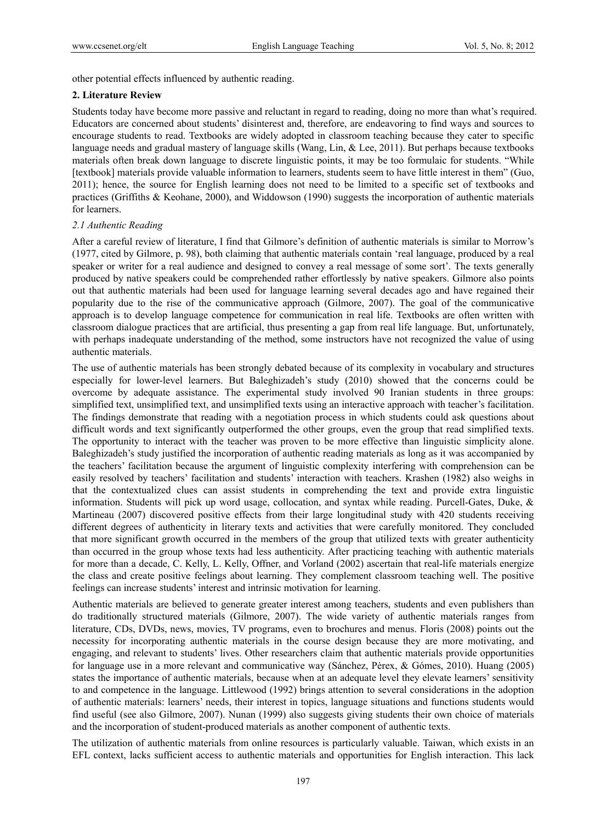other potential effects influenced by authentic reading.

## **2. Literature Review**

Students today have become more passive and reluctant in regard to reading, doing no more than what's required. Educators are concerned about students' disinterest and, therefore, are endeavoring to find ways and sources to encourage students to read. Textbooks are widely adopted in classroom teaching because they cater to specific language needs and gradual mastery of language skills (Wang, Lin, & Lee, 2011). But perhaps because textbooks materials often break down language to discrete linguistic points, it may be too formulaic for students. "While [textbook] materials provide valuable information to learners, students seem to have little interest in them" (Guo, 2011); hence, the source for English learning does not need to be limited to a specific set of textbooks and practices (Griffiths & Keohane, 2000), and Widdowson (1990) suggests the incorporation of authentic materials for learners.

## *2.1 Authentic Reading*

After a careful review of literature, I find that Gilmore's definition of authentic materials is similar to Morrow's (1977, cited by Gilmore, p. 98), both claiming that authentic materials contain 'real language, produced by a real speaker or writer for a real audience and designed to convey a real message of some sort'. The texts generally produced by native speakers could be comprehended rather effortlessly by native speakers. Gilmore also points out that authentic materials had been used for language learning several decades ago and have regained their popularity due to the rise of the communicative approach (Gilmore, 2007). The goal of the communicative approach is to develop language competence for communication in real life. Textbooks are often written with classroom dialogue practices that are artificial, thus presenting a gap from real life language. But, unfortunately, with perhaps inadequate understanding of the method, some instructors have not recognized the value of using authentic materials.

The use of authentic materials has been strongly debated because of its complexity in vocabulary and structures especially for lower-level learners. But Baleghizadeh's study (2010) showed that the concerns could be overcome by adequate assistance. The experimental study involved 90 Iranian students in three groups: simplified text, unsimplified text, and unsimplified texts using an interactive approach with teacher's facilitation. The findings demonstrate that reading with a negotiation process in which students could ask questions about difficult words and text significantly outperformed the other groups, even the group that read simplified texts. The opportunity to interact with the teacher was proven to be more effective than linguistic simplicity alone. Baleghizadeh's study justified the incorporation of authentic reading materials as long as it was accompanied by the teachers' facilitation because the argument of linguistic complexity interfering with comprehension can be easily resolved by teachers' facilitation and students' interaction with teachers. Krashen (1982) also weighs in that the contextualized clues can assist students in comprehending the text and provide extra linguistic information. Students will pick up word usage, collocation, and syntax while reading. Purcell-Gates, Duke, & Martineau (2007) discovered positive effects from their large longitudinal study with 420 students receiving different degrees of authenticity in literary texts and activities that were carefully monitored. They concluded that more significant growth occurred in the members of the group that utilized texts with greater authenticity than occurred in the group whose texts had less authenticity. After practicing teaching with authentic materials for more than a decade, C. Kelly, L. Kelly, Offner, and Vorland (2002) ascertain that real-life materials energize the class and create positive feelings about learning. They complement classroom teaching well. The positive feelings can increase students' interest and intrinsic motivation for learning.

Authentic materials are believed to generate greater interest among teachers, students and even publishers than do traditionally structured materials (Gilmore, 2007). The wide variety of authentic materials ranges from literature, CDs, DVDs, news, movies, TV programs, even to brochures and menus. Floris (2008) points out the necessity for incorporating authentic materials in the course design because they are more motivating, and engaging, and relevant to students' lives. Other researchers claim that authentic materials provide opportunities for language use in a more relevant and communicative way (Sánchez, Pėrex, & Gómes, 2010). Huang (2005) states the importance of authentic materials, because when at an adequate level they elevate learners' sensitivity to and competence in the language. Littlewood (1992) brings attention to several considerations in the adoption of authentic materials: learners' needs, their interest in topics, language situations and functions students would find useful (see also Gilmore, 2007). Nunan (1999) also suggests giving students their own choice of materials and the incorporation of student-produced materials as another component of authentic texts.

The utilization of authentic materials from online resources is particularly valuable. Taiwan, which exists in an EFL context, lacks sufficient access to authentic materials and opportunities for English interaction. This lack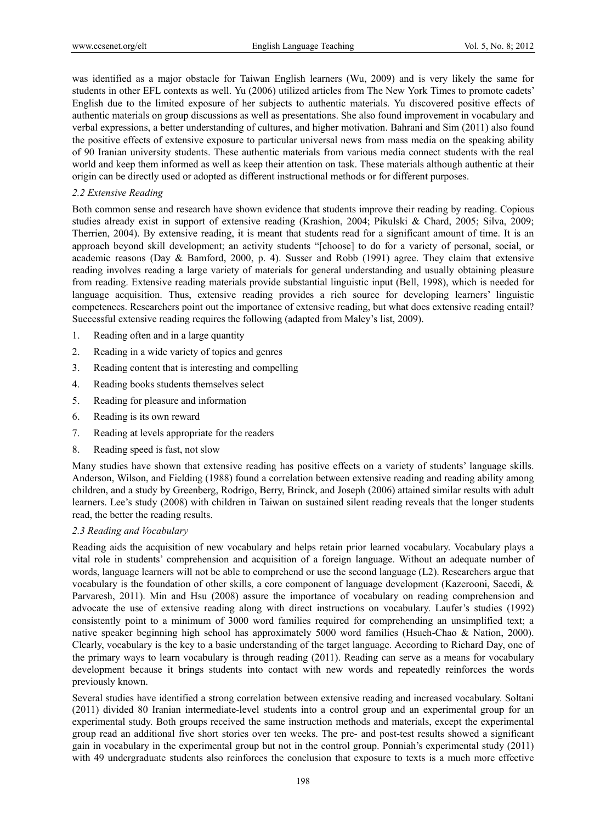was identified as a major obstacle for Taiwan English learners (Wu, 2009) and is very likely the same for students in other EFL contexts as well. Yu (2006) utilized articles from The New York Times to promote cadets' English due to the limited exposure of her subjects to authentic materials. Yu discovered positive effects of authentic materials on group discussions as well as presentations. She also found improvement in vocabulary and verbal expressions, a better understanding of cultures, and higher motivation. Bahrani and Sim (2011) also found the positive effects of extensive exposure to particular universal news from mass media on the speaking ability of 90 Iranian university students. These authentic materials from various media connect students with the real world and keep them informed as well as keep their attention on task. These materials although authentic at their origin can be directly used or adopted as different instructional methods or for different purposes.

## *2.2 Extensive Reading*

Both common sense and research have shown evidence that students improve their reading by reading. Copious studies already exist in support of extensive reading (Krashion, 2004; Pikulski & Chard, 2005; Silva, 2009; Therrien, 2004). By extensive reading, it is meant that students read for a significant amount of time. It is an approach beyond skill development; an activity students "[choose] to do for a variety of personal, social, or academic reasons (Day & Bamford, 2000, p. 4). Susser and Robb (1991) agree. They claim that extensive reading involves reading a large variety of materials for general understanding and usually obtaining pleasure from reading. Extensive reading materials provide substantial linguistic input (Bell, 1998), which is needed for language acquisition. Thus, extensive reading provides a rich source for developing learners' linguistic competences. Researchers point out the importance of extensive reading, but what does extensive reading entail? Successful extensive reading requires the following (adapted from Maley's list, 2009).

- 1. Reading often and in a large quantity
- 2. Reading in a wide variety of topics and genres
- 3. Reading content that is interesting and compelling
- 4. Reading books students themselves select
- 5. Reading for pleasure and information
- 6. Reading is its own reward
- 7. Reading at levels appropriate for the readers
- 8. Reading speed is fast, not slow

Many studies have shown that extensive reading has positive effects on a variety of students' language skills. Anderson, Wilson, and Fielding (1988) found a correlation between extensive reading and reading ability among children, and a study by Greenberg, Rodrigo, Berry, Brinck, and Joseph (2006) attained similar results with adult learners. Lee's study (2008) with children in Taiwan on sustained silent reading reveals that the longer students read, the better the reading results.

## *2.3 Reading and Vocabulary*

Reading aids the acquisition of new vocabulary and helps retain prior learned vocabulary. Vocabulary plays a vital role in students' comprehension and acquisition of a foreign language. Without an adequate number of words, language learners will not be able to comprehend or use the second language (L2). Researchers argue that vocabulary is the foundation of other skills, a core component of language development (Kazerooni, Saeedi, & Parvaresh, 2011). Min and Hsu (2008) assure the importance of vocabulary on reading comprehension and advocate the use of extensive reading along with direct instructions on vocabulary. Laufer's studies (1992) consistently point to a minimum of 3000 word families required for comprehending an unsimplified text; a native speaker beginning high school has approximately 5000 word families (Hsueh-Chao & Nation, 2000). Clearly, vocabulary is the key to a basic understanding of the target language. According to Richard Day, one of the primary ways to learn vocabulary is through reading (2011). Reading can serve as a means for vocabulary development because it brings students into contact with new words and repeatedly reinforces the words previously known.

Several studies have identified a strong correlation between extensive reading and increased vocabulary. Soltani (2011) divided 80 Iranian intermediate-level students into a control group and an experimental group for an experimental study. Both groups received the same instruction methods and materials, except the experimental group read an additional five short stories over ten weeks. The pre- and post-test results showed a significant gain in vocabulary in the experimental group but not in the control group. Ponniah's experimental study (2011) with 49 undergraduate students also reinforces the conclusion that exposure to texts is a much more effective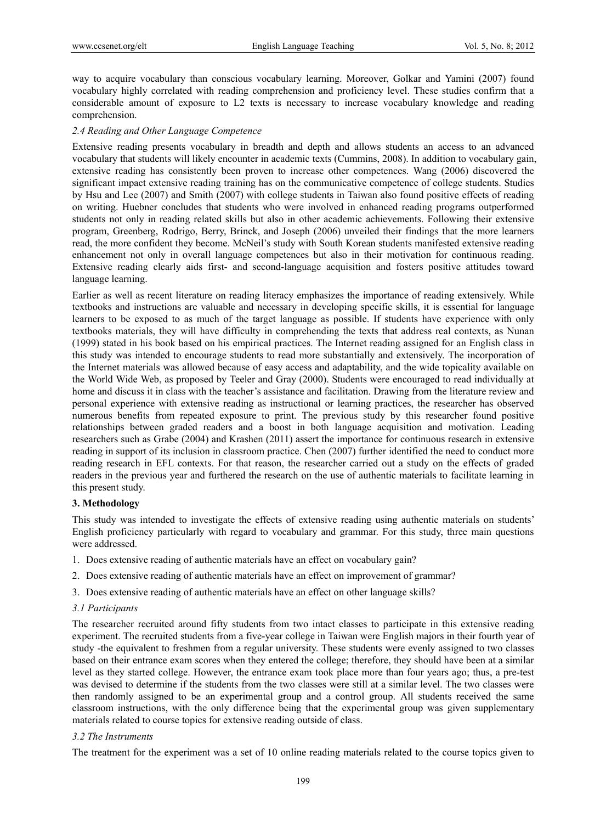way to acquire vocabulary than conscious vocabulary learning. Moreover, Golkar and Yamini (2007) found vocabulary highly correlated with reading comprehension and proficiency level. These studies confirm that a considerable amount of exposure to L2 texts is necessary to increase vocabulary knowledge and reading comprehension.

## *2.4 Reading and Other Language Competence*

Extensive reading presents vocabulary in breadth and depth and allows students an access to an advanced vocabulary that students will likely encounter in academic texts (Cummins, 2008). In addition to vocabulary gain, extensive reading has consistently been proven to increase other competences. Wang (2006) discovered the significant impact extensive reading training has on the communicative competence of college students. Studies by Hsu and Lee (2007) and Smith (2007) with college students in Taiwan also found positive effects of reading on writing. Huebner concludes that students who were involved in enhanced reading programs outperformed students not only in reading related skills but also in other academic achievements. Following their extensive program, Greenberg, Rodrigo, Berry, Brinck, and Joseph (2006) unveiled their findings that the more learners read, the more confident they become. McNeil's study with South Korean students manifested extensive reading enhancement not only in overall language competences but also in their motivation for continuous reading. Extensive reading clearly aids first- and second-language acquisition and fosters positive attitudes toward language learning.

Earlier as well as recent literature on reading literacy emphasizes the importance of reading extensively. While textbooks and instructions are valuable and necessary in developing specific skills, it is essential for language learners to be exposed to as much of the target language as possible. If students have experience with only textbooks materials, they will have difficulty in comprehending the texts that address real contexts, as Nunan (1999) stated in his book based on his empirical practices. The Internet reading assigned for an English class in this study was intended to encourage students to read more substantially and extensively. The incorporation of the Internet materials was allowed because of easy access and adaptability, and the wide topicality available on the World Wide Web, as proposed by Teeler and Gray (2000). Students were encouraged to read individually at home and discuss it in class with the teacher's assistance and facilitation. Drawing from the literature review and personal experience with extensive reading as instructional or learning practices, the researcher has observed numerous benefits from repeated exposure to print. The previous study by this researcher found positive relationships between graded readers and a boost in both language acquisition and motivation. Leading researchers such as Grabe (2004) and Krashen (2011) assert the importance for continuous research in extensive reading in support of its inclusion in classroom practice. Chen (2007) further identified the need to conduct more reading research in EFL contexts. For that reason, the researcher carried out a study on the effects of graded readers in the previous year and furthered the research on the use of authentic materials to facilitate learning in this present study.

## **3. Methodology**

This study was intended to investigate the effects of extensive reading using authentic materials on students' English proficiency particularly with regard to vocabulary and grammar. For this study, three main questions were addressed.

- 1. Does extensive reading of authentic materials have an effect on vocabulary gain?
- 2. Does extensive reading of authentic materials have an effect on improvement of grammar?
- 3. Does extensive reading of authentic materials have an effect on other language skills?

### *3.1 Participants*

The researcher recruited around fifty students from two intact classes to participate in this extensive reading experiment. The recruited students from a five-year college in Taiwan were English majors in their fourth year of study -the equivalent to freshmen from a regular university. These students were evenly assigned to two classes based on their entrance exam scores when they entered the college; therefore, they should have been at a similar level as they started college. However, the entrance exam took place more than four years ago; thus, a pre-test was devised to determine if the students from the two classes were still at a similar level. The two classes were then randomly assigned to be an experimental group and a control group. All students received the same classroom instructions, with the only difference being that the experimental group was given supplementary materials related to course topics for extensive reading outside of class.

### *3.2 The Instruments*

The treatment for the experiment was a set of 10 online reading materials related to the course topics given to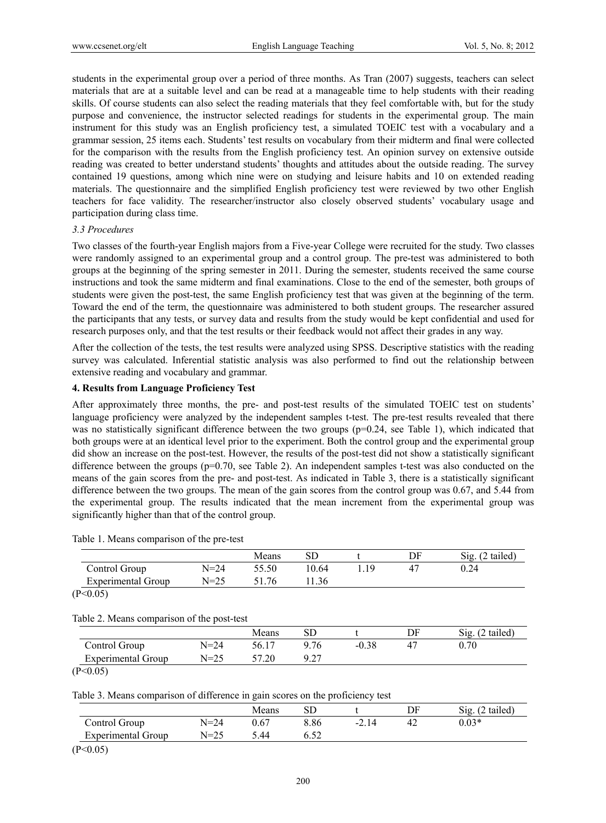students in the experimental group over a period of three months. As Tran (2007) suggests, teachers can select materials that are at a suitable level and can be read at a manageable time to help students with their reading skills. Of course students can also select the reading materials that they feel comfortable with, but for the study purpose and convenience, the instructor selected readings for students in the experimental group. The main instrument for this study was an English proficiency test, a simulated TOEIC test with a vocabulary and a grammar session, 25 items each. Students' test results on vocabulary from their midterm and final were collected for the comparison with the results from the English proficiency test. An opinion survey on extensive outside reading was created to better understand students' thoughts and attitudes about the outside reading. The survey contained 19 questions, among which nine were on studying and leisure habits and 10 on extended reading materials. The questionnaire and the simplified English proficiency test were reviewed by two other English teachers for face validity. The researcher/instructor also closely observed students' vocabulary usage and participation during class time.

## *3.3 Procedures*

Two classes of the fourth-year English majors from a Five-year College were recruited for the study. Two classes were randomly assigned to an experimental group and a control group. The pre-test was administered to both groups at the beginning of the spring semester in 2011. During the semester, students received the same course instructions and took the same midterm and final examinations. Close to the end of the semester, both groups of students were given the post-test, the same English proficiency test that was given at the beginning of the term. Toward the end of the term, the questionnaire was administered to both student groups. The researcher assured the participants that any tests, or survey data and results from the study would be kept confidential and used for research purposes only, and that the test results or their feedback would not affect their grades in any way.

After the collection of the tests, the test results were analyzed using SPSS. Descriptive statistics with the reading survey was calculated. Inferential statistic analysis was also performed to find out the relationship between extensive reading and vocabulary and grammar.

## **4. Results from Language Proficiency Test**

After approximately three months, the pre- and post-test results of the simulated TOEIC test on students' language proficiency were analyzed by the independent samples t-test. The pre-test results revealed that there was no statistically significant difference between the two groups (p=0.24, see Table 1), which indicated that both groups were at an identical level prior to the experiment. Both the control group and the experimental group did show an increase on the post-test. However, the results of the post-test did not show a statistically significant difference between the groups (p=0.70, see Table 2). An independent samples t-test was also conducted on the means of the gain scores from the pre- and post-test. As indicated in Table 3, there is a statistically significant difference between the two groups. The mean of the gain scores from the control group was 0.67, and 5.44 from the experimental group. The results indicated that the mean increment from the experimental group was significantly higher than that of the control group.

|                             |      | Means |       |       | DE | Sig. (2 tailed) |
|-----------------------------|------|-------|-------|-------|----|-----------------|
| Control Group               | N=24 | 55.50 | 10.64 | - 1 0 |    | 0.24            |
| <b>Experimental Group</b>   | N=25 | 51.76 | 1.36  |       |    |                 |
| $\sim$ $\sim$ $\sim$ $\sim$ |      |       |       |       |    |                 |

Table 1. Means comparison of the pre-test

 $(P<0.05)$ 

### Table 2. Means comparison of the post-test

|                                           |          | Means |      |         | DЕ | Sig. (2 tailed) |
|-------------------------------------------|----------|-------|------|---------|----|-----------------|
| Control Group                             | N=24     | 56.17 | 9.76 | $-0.38$ | 47 | 0.70            |
| <b>Experimental Group</b>                 | $N = 25$ | 57.20 |      |         |    |                 |
| $\sim$ $\sim$ $\sim$ $\sim$ $\sim$ $\sim$ |          |       |      |         |    |                 |

 $(P<0.05)$ 

Table 3. Means comparison of difference in gain scores on the proficiency test

|                           |          | Means |      |         | DF | Sig. (2 tailed) |
|---------------------------|----------|-------|------|---------|----|-----------------|
| Control Group             | N=24     | 0.67  | 8.86 | $-2.14$ | 4' | $0.03*$         |
| <b>Experimental Group</b> | $N = 25$ | .44   |      |         |    |                 |
|                           |          |       |      |         |    |                 |

 $(P<0.05)$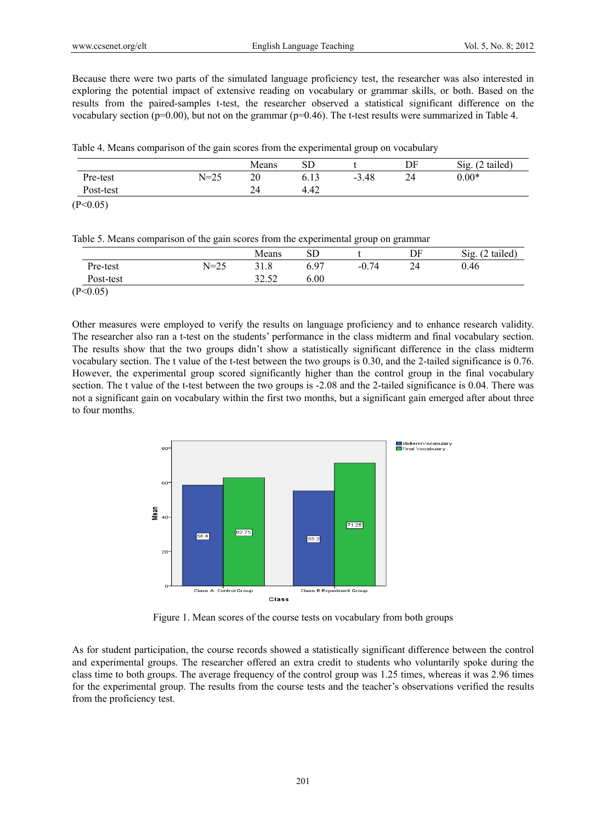Because there were two parts of the simulated language proficiency test, the researcher was also interested in exploring the potential impact of extensive reading on vocabulary or grammar skills, or both. Based on the results from the paired-samples t-test, the researcher observed a statistical significant difference on the vocabulary section (p=0.00), but not on the grammar (p=0.46). The t-test results were summarized in Table 4.

| Table 4. Means comparison of the gain scores from the experimental group on vocabulary |  |  |
|----------------------------------------------------------------------------------------|--|--|
|                                                                                        |  |  |

|           |          | Means | SD   |         | DF | Sig. (2 tailed) |
|-----------|----------|-------|------|---------|----|-----------------|
| Pre-test  | $N = 25$ | 20    | 6.13 | $-3.48$ | 24 | $0.00*$         |
| Post-test |          | 24    | 4.42 |         |    |                 |

Table 5. Means comparison of the gain scores from the experimental group on grammar

|           | --       |                   |             | --      | -- |                 |  |
|-----------|----------|-------------------|-------------|---------|----|-----------------|--|
|           |          | Means             | $_{\rm SD}$ |         | DF | Sig. (2 tailed) |  |
| Pre-test  | $N = 25$ | 31.8              | 6.97        | $-0.74$ |    | 0.46            |  |
| Post-test |          | 32.52<br>ے بہ بار | 6.00        |         |    |                 |  |
| (P<0.05)  |          |                   |             |         |    |                 |  |

Other measures were employed to verify the results on language proficiency and to enhance research validity. The researcher also ran a t-test on the students' performance in the class midterm and final vocabulary section. The results show that the two groups didn't show a statistically significant difference in the class midterm vocabulary section. The t value of the t-test between the two groups is 0.30, and the 2-tailed significance is 0.76. However, the experimental group scored significantly higher than the control group in the final vocabulary section. The t value of the t-test between the two groups is -2.08 and the 2-tailed significance is 0.04. There was not a significant gain on vocabulary within the first two months, but a significant gain emerged after about three to four months.



Figure 1. Mean scores of the course tests on vocabulary from both groups

As for student participation, the course records showed a statistically significant difference between the control and experimental groups. The researcher offered an extra credit to students who voluntarily spoke during the class time to both groups. The average frequency of the control group was 1.25 times, whereas it was 2.96 times for the experimental group. The results from the course tests and the teacher's observations verified the results from the proficiency test.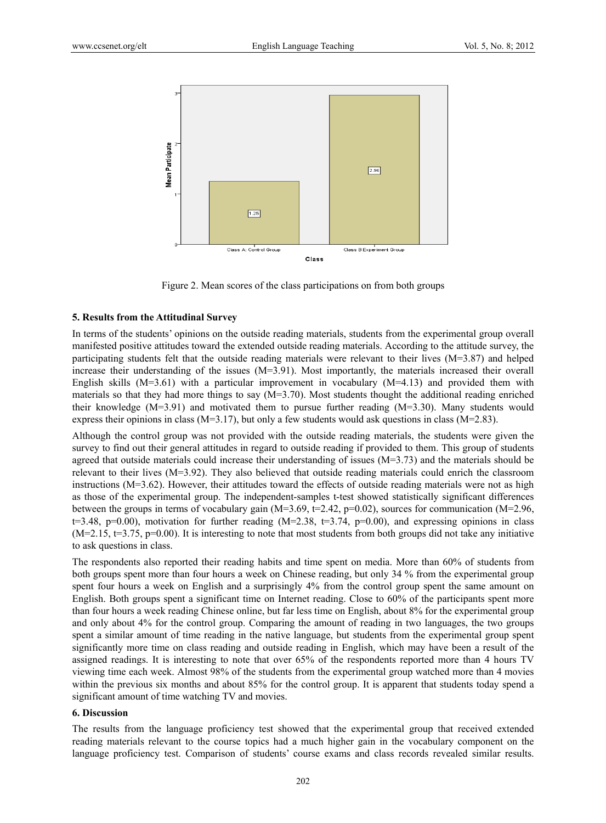

Figure 2. Mean scores of the class participations on from both groups

## **5. Results from the Attitudinal Survey**

In terms of the students' opinions on the outside reading materials, students from the experimental group overall manifested positive attitudes toward the extended outside reading materials. According to the attitude survey, the participating students felt that the outside reading materials were relevant to their lives (M=3.87) and helped increase their understanding of the issues (M=3.91). Most importantly, the materials increased their overall English skills  $(M=3.61)$  with a particular improvement in vocabulary  $(M=4.13)$  and provided them with materials so that they had more things to say  $(M=3.70)$ . Most students thought the additional reading enriched their knowledge (M=3.91) and motivated them to pursue further reading (M=3.30). Many students would express their opinions in class (M=3.17), but only a few students would ask questions in class (M=2.83).

Although the control group was not provided with the outside reading materials, the students were given the survey to find out their general attitudes in regard to outside reading if provided to them. This group of students agreed that outside materials could increase their understanding of issues (M=3.73) and the materials should be relevant to their lives (M=3.92). They also believed that outside reading materials could enrich the classroom instructions (M=3.62). However, their attitudes toward the effects of outside reading materials were not as high as those of the experimental group. The independent-samples t-test showed statistically significant differences between the groups in terms of vocabulary gain (M=3.69, t=2.42, p=0.02), sources for communication (M=2.96,  $t=3.48$ , p=0.00), motivation for further reading (M=2.38, t=3.74, p=0.00), and expressing opinions in class  $(M=2.15, t=3.75, p=0.00)$ . It is interesting to note that most students from both groups did not take any initiative to ask questions in class.

The respondents also reported their reading habits and time spent on media. More than 60% of students from both groups spent more than four hours a week on Chinese reading, but only 34 % from the experimental group spent four hours a week on English and a surprisingly 4% from the control group spent the same amount on English. Both groups spent a significant time on Internet reading. Close to 60% of the participants spent more than four hours a week reading Chinese online, but far less time on English, about 8% for the experimental group and only about 4% for the control group. Comparing the amount of reading in two languages, the two groups spent a similar amount of time reading in the native language, but students from the experimental group spent significantly more time on class reading and outside reading in English, which may have been a result of the assigned readings. It is interesting to note that over 65% of the respondents reported more than 4 hours TV viewing time each week. Almost 98% of the students from the experimental group watched more than 4 movies within the previous six months and about 85% for the control group. It is apparent that students today spend a significant amount of time watching TV and movies.

## **6. Discussion**

The results from the language proficiency test showed that the experimental group that received extended reading materials relevant to the course topics had a much higher gain in the vocabulary component on the language proficiency test. Comparison of students' course exams and class records revealed similar results.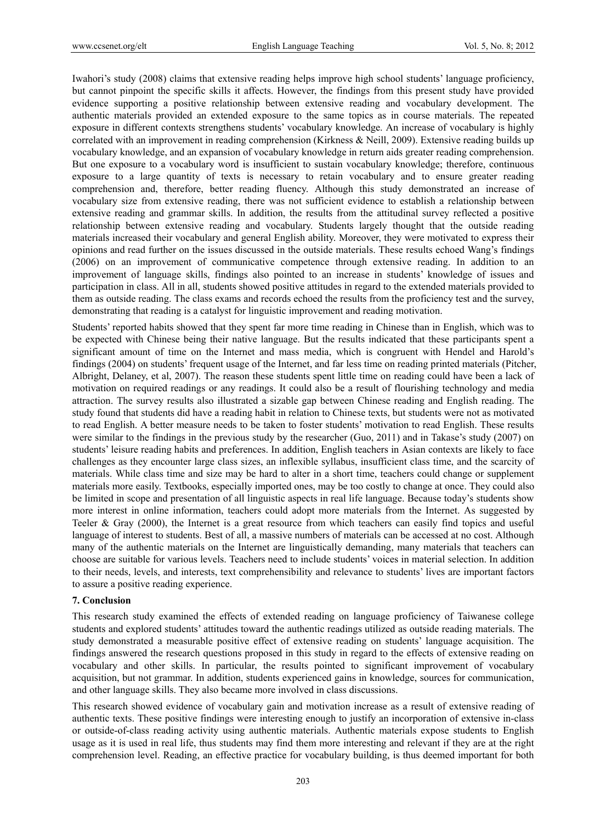Iwahori's study (2008) claims that extensive reading helps improve high school students' language proficiency, but cannot pinpoint the specific skills it affects. However, the findings from this present study have provided evidence supporting a positive relationship between extensive reading and vocabulary development. The authentic materials provided an extended exposure to the same topics as in course materials. The repeated exposure in different contexts strengthens students' vocabulary knowledge. An increase of vocabulary is highly correlated with an improvement in reading comprehension (Kirkness & Neill, 2009). Extensive reading builds up vocabulary knowledge, and an expansion of vocabulary knowledge in return aids greater reading comprehension. But one exposure to a vocabulary word is insufficient to sustain vocabulary knowledge; therefore, continuous exposure to a large quantity of texts is necessary to retain vocabulary and to ensure greater reading comprehension and, therefore, better reading fluency. Although this study demonstrated an increase of vocabulary size from extensive reading, there was not sufficient evidence to establish a relationship between extensive reading and grammar skills. In addition, the results from the attitudinal survey reflected a positive relationship between extensive reading and vocabulary. Students largely thought that the outside reading materials increased their vocabulary and general English ability. Moreover, they were motivated to express their opinions and read further on the issues discussed in the outside materials. These results echoed Wang's findings (2006) on an improvement of communicative competence through extensive reading. In addition to an improvement of language skills, findings also pointed to an increase in students' knowledge of issues and participation in class. All in all, students showed positive attitudes in regard to the extended materials provided to them as outside reading. The class exams and records echoed the results from the proficiency test and the survey, demonstrating that reading is a catalyst for linguistic improvement and reading motivation.

Students' reported habits showed that they spent far more time reading in Chinese than in English, which was to be expected with Chinese being their native language. But the results indicated that these participants spent a significant amount of time on the Internet and mass media, which is congruent with Hendel and Harold's findings (2004) on students' frequent usage of the Internet, and far less time on reading printed materials (Pitcher, Albright, Delaney, et al, 2007). The reason these students spent little time on reading could have been a lack of motivation on required readings or any readings. It could also be a result of flourishing technology and media attraction. The survey results also illustrated a sizable gap between Chinese reading and English reading. The study found that students did have a reading habit in relation to Chinese texts, but students were not as motivated to read English. A better measure needs to be taken to foster students' motivation to read English. These results were similar to the findings in the previous study by the researcher (Guo, 2011) and in Takase's study (2007) on students' leisure reading habits and preferences. In addition, English teachers in Asian contexts are likely to face challenges as they encounter large class sizes, an inflexible syllabus, insufficient class time, and the scarcity of materials. While class time and size may be hard to alter in a short time, teachers could change or supplement materials more easily. Textbooks, especially imported ones, may be too costly to change at once. They could also be limited in scope and presentation of all linguistic aspects in real life language. Because today's students show more interest in online information, teachers could adopt more materials from the Internet. As suggested by Teeler & Gray (2000), the Internet is a great resource from which teachers can easily find topics and useful language of interest to students. Best of all, a massive numbers of materials can be accessed at no cost. Although many of the authentic materials on the Internet are linguistically demanding, many materials that teachers can choose are suitable for various levels. Teachers need to include students' voices in material selection. In addition to their needs, levels, and interests, text comprehensibility and relevance to students' lives are important factors to assure a positive reading experience.

## **7. Conclusion**

This research study examined the effects of extended reading on language proficiency of Taiwanese college students and explored students' attitudes toward the authentic readings utilized as outside reading materials. The study demonstrated a measurable positive effect of extensive reading on students' language acquisition. The findings answered the research questions proposed in this study in regard to the effects of extensive reading on vocabulary and other skills. In particular, the results pointed to significant improvement of vocabulary acquisition, but not grammar. In addition, students experienced gains in knowledge, sources for communication, and other language skills. They also became more involved in class discussions.

This research showed evidence of vocabulary gain and motivation increase as a result of extensive reading of authentic texts. These positive findings were interesting enough to justify an incorporation of extensive in-class or outside-of-class reading activity using authentic materials. Authentic materials expose students to English usage as it is used in real life, thus students may find them more interesting and relevant if they are at the right comprehension level. Reading, an effective practice for vocabulary building, is thus deemed important for both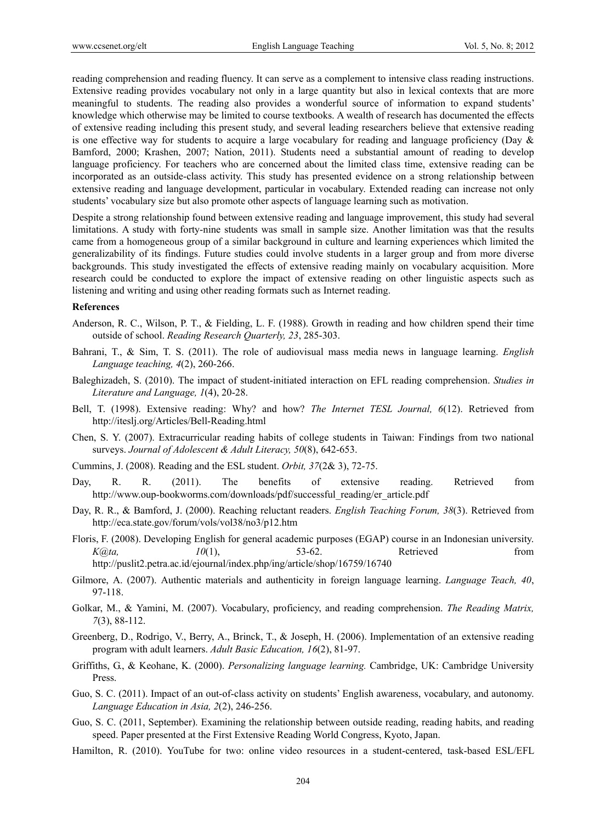reading comprehension and reading fluency. It can serve as a complement to intensive class reading instructions. Extensive reading provides vocabulary not only in a large quantity but also in lexical contexts that are more meaningful to students. The reading also provides a wonderful source of information to expand students' knowledge which otherwise may be limited to course textbooks. A wealth of research has documented the effects of extensive reading including this present study, and several leading researchers believe that extensive reading is one effective way for students to acquire a large vocabulary for reading and language proficiency (Day & Bamford, 2000; Krashen, 2007; Nation, 2011). Students need a substantial amount of reading to develop language proficiency. For teachers who are concerned about the limited class time, extensive reading can be incorporated as an outside-class activity. This study has presented evidence on a strong relationship between extensive reading and language development, particular in vocabulary. Extended reading can increase not only students' vocabulary size but also promote other aspects of language learning such as motivation.

Despite a strong relationship found between extensive reading and language improvement, this study had several limitations. A study with forty-nine students was small in sample size. Another limitation was that the results came from a homogeneous group of a similar background in culture and learning experiences which limited the generalizability of its findings. Future studies could involve students in a larger group and from more diverse backgrounds. This study investigated the effects of extensive reading mainly on vocabulary acquisition. More research could be conducted to explore the impact of extensive reading on other linguistic aspects such as listening and writing and using other reading formats such as Internet reading.

#### **References**

- Anderson, R. C., Wilson, P. T., & Fielding, L. F. (1988). Growth in reading and how children spend their time outside of school. *Reading Research Quarterly, 23*, 285-303.
- Bahrani, T., & Sim, T. S. (2011). The role of audiovisual mass media news in language learning. *English Language teaching, 4*(2), 260-266.
- Baleghizadeh, S. (2010). The impact of student-initiated interaction on EFL reading comprehension. *Studies in Literature and Language, 1*(4), 20-28.
- Bell, T. (1998). Extensive reading: Why? and how? *The Internet TESL Journal, 6*(12). Retrieved from http://iteslj.org/Articles/Bell-Reading.html
- Chen, S. Y. (2007). Extracurricular reading habits of college students in Taiwan: Findings from two national surveys. *Journal of Adolescent & Adult Literacy, 50*(8), 642-653.
- Cummins, J. (2008). Reading and the ESL student. *Orbit, 37*(2& 3), 72-75.
- Day, R. R. (2011). The benefits of extensive reading. Retrieved from http://www.oup-bookworms.com/downloads/pdf/successful\_reading/er\_article.pdf
- Day, R. R., & Bamford, J. (2000). Reaching reluctant readers. *English Teaching Forum, 38*(3). Retrieved from http://eca.state.gov/forum/vols/vol38/no3/p12.htm
- Floris, F. (2008). Developing English for general academic purposes (EGAP) course in an Indonesian university. *K@ta, I0*(1), 53-62. Retrieved from http://puslit2.petra.ac.id/ejournal/index.php/ing/article/shop/16759/16740
- Gilmore, A. (2007). Authentic materials and authenticity in foreign language learning. *Language Teach, 40*, 97-118.
- Golkar, M., & Yamini, M. (2007). Vocabulary, proficiency, and reading comprehension. *The Reading Matrix, 7*(3), 88-112.
- Greenberg, D., Rodrigo, V., Berry, A., Brinck, T., & Joseph, H. (2006). Implementation of an extensive reading program with adult learners. *Adult Basic Education, 16*(2), 81-97.
- Griffiths, G., & Keohane, K. (2000). *Personalizing language learning.* Cambridge, UK: Cambridge University Press.
- Guo, S. C. (2011). Impact of an out-of-class activity on students' English awareness, vocabulary, and autonomy. *Language Education in Asia, 2*(2), 246-256.
- Guo, S. C. (2011, September). Examining the relationship between outside reading, reading habits, and reading speed. Paper presented at the First Extensive Reading World Congress, Kyoto, Japan.
- Hamilton, R. (2010). YouTube for two: online video resources in a student-centered, task-based ESL/EFL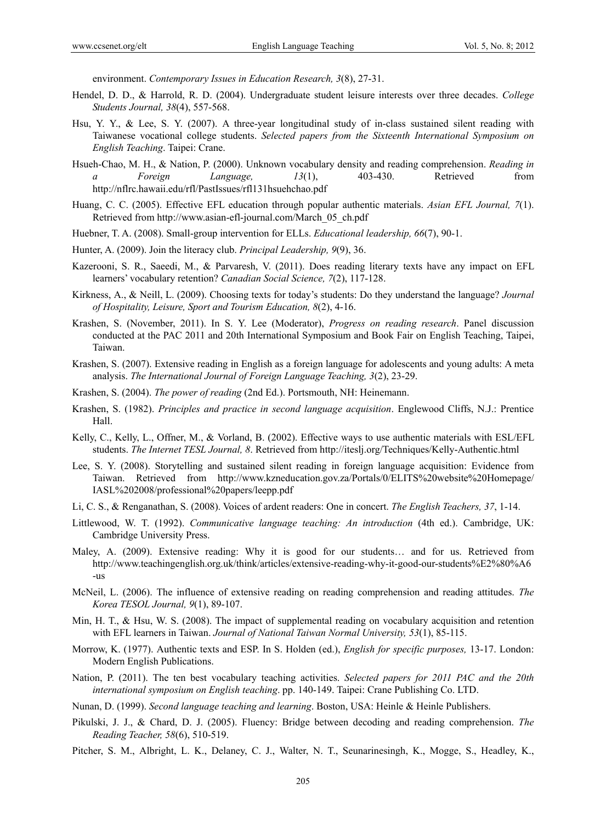environment. *Contemporary Issues in Education Research, 3*(8), 27-31.

- Hendel, D. D., & Harrold, R. D. (2004). Undergraduate student leisure interests over three decades. *College Students Journal, 38*(4), 557-568.
- Hsu, Y. Y., & Lee, S. Y. (2007). A three-year longitudinal study of in-class sustained silent reading with Taiwanese vocational college students. *Selected papers from the Sixteenth International Symposium on English Teaching*. Taipei: Crane.
- Hsueh-Chao, M. H., & Nation, P. (2000). Unknown vocabulary density and reading comprehension. *Reading in a Foreign Language, 13*(1), 403-430. Retrieved from http://nflrc.hawaii.edu/rfl/PastIssues/rfl131hsuehchao.pdf
- Huang, C. C. (2005). Effective EFL education through popular authentic materials. *Asian EFL Journal, 7*(1). Retrieved from http://www.asian-efl-journal.com/March\_05\_ch.pdf
- Huebner, T. A. (2008). Small-group intervention for ELLs. *Educational leadership, 66*(7), 90-1.
- Hunter, A. (2009). Join the literacy club. *Principal Leadership, 9*(9), 36.
- Kazerooni, S. R., Saeedi, M., & Parvaresh, V. (2011). Does reading literary texts have any impact on EFL learners' vocabulary retention? *Canadian Social Science, 7*(2), 117-128.
- Kirkness, A., & Neill, L. (2009). Choosing texts for today's students: Do they understand the language? *Journal of Hospitality, Leisure, Sport and Tourism Education, 8*(2), 4-16.
- Krashen, S. (November, 2011). In S. Y. Lee (Moderator), *Progress on reading research*. Panel discussion conducted at the PAC 2011 and 20th International Symposium and Book Fair on English Teaching, Taipei, Taiwan.
- Krashen, S. (2007). Extensive reading in English as a foreign language for adolescents and young adults: A meta analysis. *The International Journal of Foreign Language Teaching, 3*(2), 23-29.
- Krashen, S. (2004). *The power of reading* (2nd Ed.). Portsmouth, NH: Heinemann.
- Krashen, S. (1982). *Principles and practice in second language acquisition*. Englewood Cliffs, N.J.: Prentice Hall.
- Kelly, C., Kelly, L., Offner, M., & Vorland, B. (2002). Effective ways to use authentic materials with ESL/EFL students. *The Internet TESL Journal, 8*. Retrieved from http://iteslj.org/Techniques/Kelly-Authentic.html
- Lee, S. Y. (2008). Storytelling and sustained silent reading in foreign language acquisition: Evidence from Taiwan. Retrieved from http://www.kzneducation.gov.za/Portals/0/ELITS%20website%20Homepage/ IASL%202008/professional%20papers/leepp.pdf
- Li, C. S., & Renganathan, S. (2008). Voices of ardent readers: One in concert. *The English Teachers, 37*, 1-14.
- Littlewood, W. T. (1992). *Communicative language teaching: An introduction* (4th ed.). Cambridge, UK: Cambridge University Press.
- Maley, A. (2009). Extensive reading: Why it is good for our students… and for us. Retrieved from http://www.teachingenglish.org.uk/think/articles/extensive-reading-why-it-good-our-students%E2%80%A6 -us
- McNeil, L. (2006). The influence of extensive reading on reading comprehension and reading attitudes. *The Korea TESOL Journal, 9*(1), 89-107.
- Min, H. T., & Hsu, W. S. (2008). The impact of supplemental reading on vocabulary acquisition and retention with EFL learners in Taiwan. *Journal of National Taiwan Normal University, 53*(1), 85-115.
- Morrow, K. (1977). Authentic texts and ESP. In S. Holden (ed.), *English for specific purposes,* 13-17. London: Modern English Publications.
- Nation, P. (2011). The ten best vocabulary teaching activities. *Selected papers for 2011 PAC and the 20th international symposium on English teaching*. pp. 140-149. Taipei: Crane Publishing Co. LTD.
- Nunan, D. (1999). *Second language teaching and learning*. Boston, USA: Heinle & Heinle Publishers.
- Pikulski, J. J., & Chard, D. J. (2005). Fluency: Bridge between decoding and reading comprehension. *The Reading Teacher, 58*(6), 510-519.
- Pitcher, S. M., Albright, L. K., Delaney, C. J., Walter, N. T., Seunarinesingh, K., Mogge, S., Headley, K.,